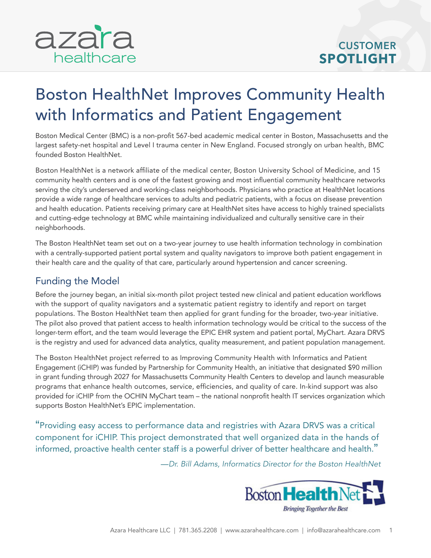

## Boston HealthNet Improves Community Health with Informatics and Patient Engagement

Boston Medical Center (BMC) is a non-profit 567-bed academic medical center in Boston, Massachusetts and the largest safety-net hospital and Level I trauma center in New England. Focused strongly on urban health, BMC founded Boston HealthNet.

Boston HealthNet is a network affiliate of the medical center, Boston University School of Medicine, and 15 community health centers and is one of the fastest growing and most influential community healthcare networks serving the city's underserved and working-class neighborhoods. Physicians who practice at HealthNet locations provide a wide range of healthcare services to adults and pediatric patients, with a focus on disease prevention and health education. Patients receiving primary care at HealthNet sites have access to highly trained specialists and cutting-edge technology at BMC while maintaining individualized and culturally sensitive care in their neighborhoods.

The Boston HealthNet team set out on a two-year journey to use health information technology in combination with a centrally-supported patient portal system and quality navigators to improve both patient engagement in their health care and the quality of that care, particularly around hypertension and cancer screening.

## Funding the Model

Before the journey began, an initial six-month pilot project tested new clinical and patient education workflows with the support of quality navigators and a systematic patient registry to identify and report on target populations. The Boston HealthNet team then applied for grant funding for the broader, two-year initiative. The pilot also proved that patient access to health information technology would be critical to the success of the longer-term effort, and the team would leverage the EPIC EHR system and patient portal, MyChart. Azara DRVS is the registry and used for advanced data analytics, quality measurement, and patient population management.

The Boston HealthNet project referred to as Improving Community Health with Informatics and Patient Engagement (iCHIP) was funded by Partnership for Community Health, an initiative that designated \$90 million in grant funding through 2027 for Massachusetts Community Health Centers to develop and launch measurable programs that enhance health outcomes, service, efficiencies, and quality of care. In-kind support was also provided for iCHIP from the OCHIN MyChart team – the national nonprofit health IT services organization which supports Boston HealthNet's EPIC implementation.

"Providing easy access to performance data and registries with Azara DRVS was a critical component for iCHIP. This project demonstrated that well organized data in the hands of informed, proactive health center staff is a powerful driver of better healthcare and health."

—*Dr. Bill Adams, Informatics Director for the Boston HealthNet*